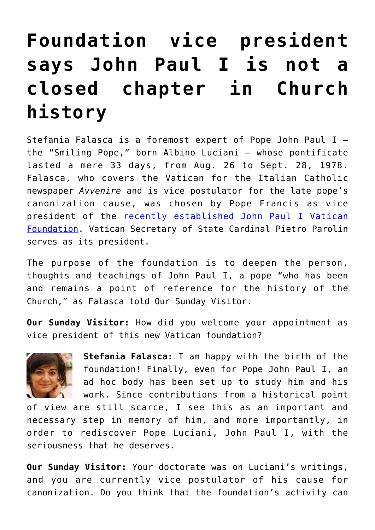## **[Foundation vice president](https://www.osvnews.com/2020/05/12/foundation-vice-president-says-john-paul-i-is-not-a-closed-chapter-in-church-history/) [says John Paul I is not a](https://www.osvnews.com/2020/05/12/foundation-vice-president-says-john-paul-i-is-not-a-closed-chapter-in-church-history/) [closed chapter in Church](https://www.osvnews.com/2020/05/12/foundation-vice-president-says-john-paul-i-is-not-a-closed-chapter-in-church-history/) [history](https://www.osvnews.com/2020/05/12/foundation-vice-president-says-john-paul-i-is-not-a-closed-chapter-in-church-history/)**

Stefania Falasca is a foremost expert of Pope John Paul I the "Smiling Pope," born Albino Luciani — whose pontificate lasted a mere 33 days, from Aug. 26 to Sept. 28, 1978. Falasca, who covers the Vatican for the Italian Catholic newspaper *Avvenire* and is vice postulator for the late pope's canonization cause, was chosen by Pope Francis as vice president of the [recently established John Paul I Vatican](https://osvnews.com/2020/04/28/pope-approves-foundation-promoting-example-works-of-pope-john-paul-i/) [Foundation](https://osvnews.com/2020/04/28/pope-approves-foundation-promoting-example-works-of-pope-john-paul-i/). Vatican Secretary of State Cardinal Pietro Parolin serves as its president.

The purpose of the foundation is to deepen the person, thoughts and teachings of John Paul I, a pope "who has been and remains a point of reference for the history of the Church," as Falasca told Our Sunday Visitor.

**Our Sunday Visitor:** How did you welcome your appointment as vice president of this new Vatican foundation?



**Stefania Falasca:** I am happy with the birth of the foundation! Finally, even for Pope John Paul I, an ad hoc body has been set up to study him and his work. Since contributions from a historical point

of view are still scarce, I see this as an important and necessary step in memory of him, and more importantly, in order to rediscover Pope Luciani, John Paul I, with the seriousness that he deserves.

**Our Sunday Visitor:** Your doctorate was on Luciani's writings, and you are currently vice postulator of his cause for canonization. Do you think that the foundation's activity can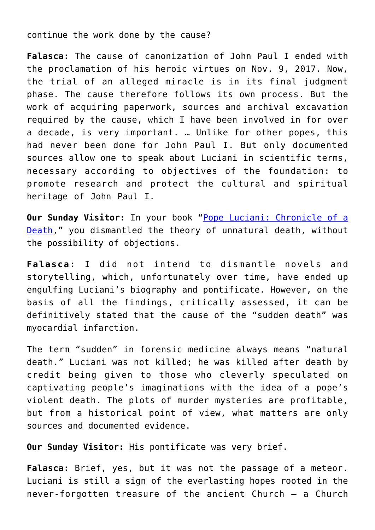continue the work done by the cause?

**Falasca:** The cause of canonization of John Paul I ended with the proclamation of his heroic virtues on Nov. 9, 2017. Now, the trial of an alleged miracle is in its final judgment phase. The cause therefore follows its own process. But the work of acquiring paperwork, sources and archival excavation required by the cause, which I have been involved in for over a decade, is very important. … Unlike for other popes, this had never been done for John Paul I. But only documented sources allow one to speak about Luciani in scientific terms, necessary according to objectives of the foundation: to promote research and protect the cultural and spiritual heritage of John Paul I.

**Our Sunday Visitor:** In your book ["Pope Luciani: Chronicle of a](https://amzn.to/3dwcqdc) [Death,](https://amzn.to/3dwcqdc)" you dismantled the theory of unnatural death, without the possibility of objections.

**Falasca:** I did not intend to dismantle novels and storytelling, which, unfortunately over time, have ended up engulfing Luciani's biography and pontificate. However, on the basis of all the findings, critically assessed, it can be definitively stated that the cause of the "sudden death" was myocardial infarction.

The term "sudden" in forensic medicine always means "natural death." Luciani was not killed; he was killed after death by credit being given to those who cleverly speculated on captivating people's imaginations with the idea of a pope's violent death. The plots of murder mysteries are profitable, but from a historical point of view, what matters are only sources and documented evidence.

**Our Sunday Visitor:** His pontificate was very brief.

**Falasca:** Brief, yes, but it was not the passage of a meteor. Luciani is still a sign of the everlasting hopes rooted in the never-forgotten treasure of the ancient Church — a Church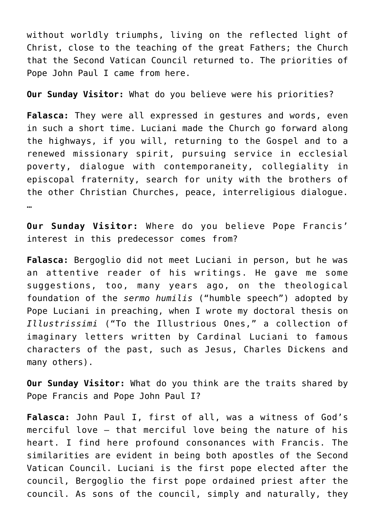without worldly triumphs, living on the reflected light of Christ, close to the teaching of the great Fathers; the Church that the Second Vatican Council returned to. The priorities of Pope John Paul I came from here.

**Our Sunday Visitor:** What do you believe were his priorities?

**Falasca:** They were all expressed in gestures and words, even in such a short time. Luciani made the Church go forward along the highways, if you will, returning to the Gospel and to a renewed missionary spirit, pursuing service in ecclesial poverty, dialogue with contemporaneity, collegiality in episcopal fraternity, search for unity with the brothers of the other Christian Churches, peace, interreligious dialogue. …

**Our Sunday Visitor:** Where do you believe Pope Francis' interest in this predecessor comes from?

**Falasca:** Bergoglio did not meet Luciani in person, but he was an attentive reader of his writings. He gave me some suggestions, too, many years ago, on the theological foundation of the *sermo humilis* ("humble speech") adopted by Pope Luciani in preaching, when I wrote my doctoral thesis on *Illustrissimi* ("To the Illustrious Ones," a collection of imaginary letters written by Cardinal Luciani to famous characters of the past, such as Jesus, Charles Dickens and many others).

**Our Sunday Visitor:** What do you think are the traits shared by Pope Francis and Pope John Paul I?

**Falasca:** John Paul I, first of all, was a witness of God's merciful love — that merciful love being the nature of his heart. I find here profound consonances with Francis. The similarities are evident in being both apostles of the Second Vatican Council. Luciani is the first pope elected after the council, Bergoglio the first pope ordained priest after the council. As sons of the council, simply and naturally, they